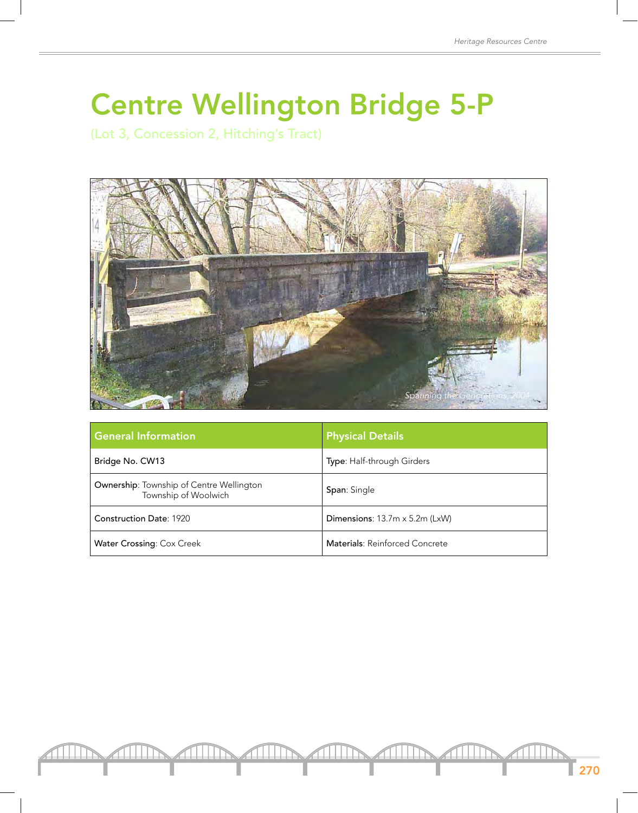## Centre Wellington Bridge 5-P

(Lot 3, Concession 2, Hitching's Tract)



| <b>General Information</b>                                       | <b>Physical Details</b>               |
|------------------------------------------------------------------|---------------------------------------|
| Bridge No. CW13                                                  | <b>Type:</b> Half-through Girders     |
| Ownership: Township of Centre Wellington<br>Township of Woolwich | <b>Span:</b> Single                   |
| <b>Construction Date: 1920</b>                                   | Dimensions: $13.7m \times 5.2m$ (LxW) |
| <b>Water Crossing: Cox Creek</b>                                 | Materials: Reinforced Concrete        |